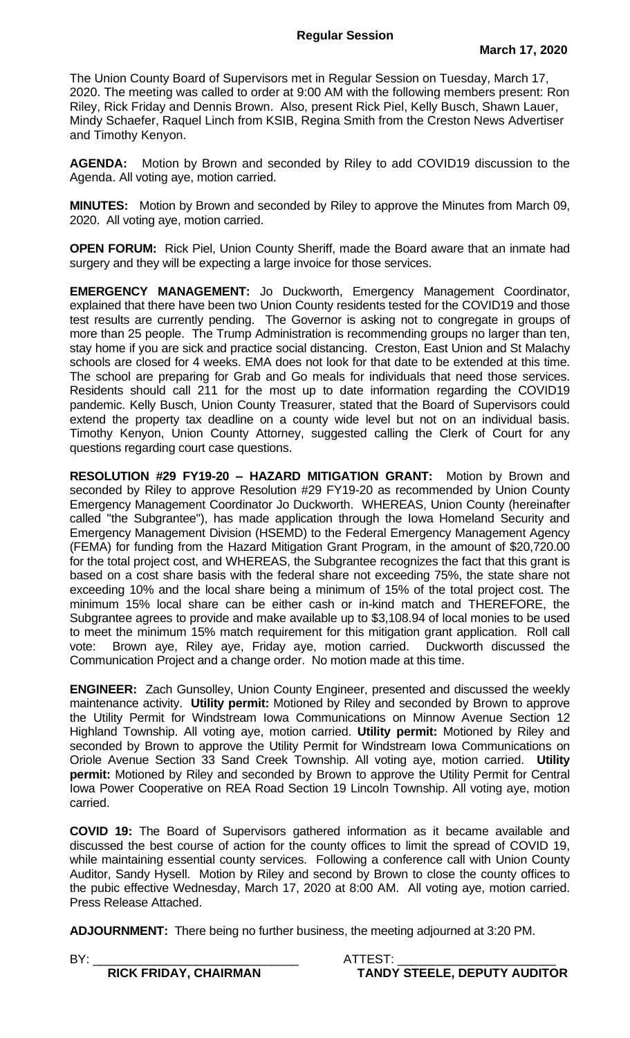The Union County Board of Supervisors met in Regular Session on Tuesday, March 17, 2020. The meeting was called to order at 9:00 AM with the following members present: Ron Riley, Rick Friday and Dennis Brown. Also, present Rick Piel, Kelly Busch, Shawn Lauer, Mindy Schaefer, Raquel Linch from KSIB, Regina Smith from the Creston News Advertiser and Timothy Kenyon.

**AGENDA:** Motion by Brown and seconded by Riley to add COVID19 discussion to the Agenda. All voting aye, motion carried.

**MINUTES:** Motion by Brown and seconded by Riley to approve the Minutes from March 09, 2020. All voting aye, motion carried.

**OPEN FORUM:** Rick Piel, Union County Sheriff, made the Board aware that an inmate had surgery and they will be expecting a large invoice for those services.

**EMERGENCY MANAGEMENT:** Jo Duckworth, Emergency Management Coordinator, explained that there have been two Union County residents tested for the COVID19 and those test results are currently pending. The Governor is asking not to congregate in groups of more than 25 people. The Trump Administration is recommending groups no larger than ten, stay home if you are sick and practice social distancing. Creston, East Union and St Malachy schools are closed for 4 weeks. EMA does not look for that date to be extended at this time. The school are preparing for Grab and Go meals for individuals that need those services. Residents should call 211 for the most up to date information regarding the COVID19 pandemic. Kelly Busch, Union County Treasurer, stated that the Board of Supervisors could extend the property tax deadline on a county wide level but not on an individual basis. Timothy Kenyon, Union County Attorney, suggested calling the Clerk of Court for any questions regarding court case questions.

**RESOLUTION #29 FY19-20 – HAZARD MITIGATION GRANT:** Motion by Brown and seconded by Riley to approve Resolution #29 FY19-20 as recommended by Union County Emergency Management Coordinator Jo Duckworth. WHEREAS, Union County (hereinafter called "the Subgrantee"), has made application through the Iowa Homeland Security and Emergency Management Division (HSEMD) to the Federal Emergency Management Agency (FEMA) for funding from the Hazard Mitigation Grant Program, in the amount of \$20,720.00 for the total project cost, and WHEREAS, the Subgrantee recognizes the fact that this grant is based on a cost share basis with the federal share not exceeding 75%, the state share not exceeding 10% and the local share being a minimum of 15% of the total project cost. The minimum 15% local share can be either cash or in-kind match and THEREFORE, the Subgrantee agrees to provide and make available up to \$3,108.94 of local monies to be used to meet the minimum 15% match requirement for this mitigation grant application. Roll call vote: Brown aye, Riley aye, Friday aye, motion carried. Duckworth discussed the Communication Project and a change order. No motion made at this time.

**ENGINEER:** Zach Gunsolley, Union County Engineer, presented and discussed the weekly maintenance activity. **Utility permit:** Motioned by Riley and seconded by Brown to approve the Utility Permit for Windstream Iowa Communications on Minnow Avenue Section 12 Highland Township. All voting aye, motion carried. **Utility permit:** Motioned by Riley and seconded by Brown to approve the Utility Permit for Windstream Iowa Communications on Oriole Avenue Section 33 Sand Creek Township. All voting aye, motion carried. **Utility permit:** Motioned by Riley and seconded by Brown to approve the Utility Permit for Central Iowa Power Cooperative on REA Road Section 19 Lincoln Township. All voting aye, motion carried.

**COVID 19:** The Board of Supervisors gathered information as it became available and discussed the best course of action for the county offices to limit the spread of COVID 19, while maintaining essential county services. Following a conference call with Union County Auditor, Sandy Hysell. Motion by Riley and second by Brown to close the county offices to the pubic effective Wednesday, March 17, 2020 at 8:00 AM. All voting aye, motion carried. Press Release Attached.

**ADJOURNMENT:** There being no further business, the meeting adjourned at 3:20 PM.

BY: \_\_\_\_\_\_\_\_\_\_\_\_\_\_\_\_\_\_\_\_\_\_\_\_\_\_\_\_\_\_ ATTEST: \_\_\_\_\_\_\_\_\_\_\_\_\_\_\_\_\_\_\_\_\_\_\_  **RICK FRIDAY, CHAIRMAN TANDY STEELE, DEPUTY AUDITOR**